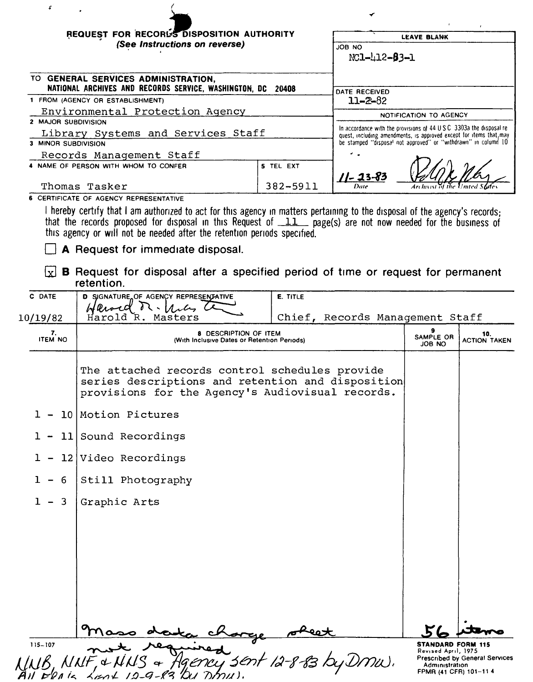| REQUEST FOR RECORDS DISPOSITION AUTHORITY<br>(See Instructions on reverse)                   |                        | <b>LEAVE BLANK</b><br>JOB NO<br>NC1-412-83-1                                                                                                 |  |
|----------------------------------------------------------------------------------------------|------------------------|----------------------------------------------------------------------------------------------------------------------------------------------|--|
| TO GENERAL SERVICES ADMINISTRATION.<br>NATIONAL ARCHIVES AND RECORDS SERVICE, WASHINGTON, DC | 20408                  | DATE RECEIVED                                                                                                                                |  |
| 1 FROM (AGENCY OR ESTABLISHMENT)                                                             |                        | $11 - 2 - 82$                                                                                                                                |  |
| Environmental Protection Agency                                                              | NOTIFICATION TO AGENCY |                                                                                                                                              |  |
| <b>2 MAJOR SUBDIVISION</b>                                                                   |                        |                                                                                                                                              |  |
| Library Systems and Services Staff                                                           |                        | In accordance with the provisions of 44 U.S.C. 3303a the disposal re-<br>quest, including amendments, is approved except for items that, may |  |
| 3 MINOR SUBDIVISION                                                                          |                        | be stamped "disposal not approved" or "withdrawn" in column 10                                                                               |  |
| Records Management Staff                                                                     |                        | ر ب                                                                                                                                          |  |
| 4 NAME OF PERSON WITH WHOM TO CONFER                                                         | 5 TEL EXT              | $11 - 23 - 83$                                                                                                                               |  |
| Thomas Tasker                                                                                | 382-5911               | Date<br>Archivist of the United Slat                                                                                                         |  |
| <b>6 CERTIFICATE OF AGENCY REPRESENTATIVE</b>                                                |                        |                                                                                                                                              |  |

I hereby certify that I am authorized to act for this agency in matters pertaining to the disposal of the agency's records;<br>that the records proposed for disposal in this Request of  $11$  page(s) are not now needed for the

A Request for immediate disposal.

 $\langle$ .

š.

 $\ddot{\phantom{0}}$ 

 $\boxed{\text{x}}$  **B** Request for disposal after a specified period of time or request for permanent retention

| C DATE                                              | D SIGNATURE OF AGENCY REPRESENTATIVE                                                                                                                    | E. TITLE                        |                                                 |                                |
|-----------------------------------------------------|---------------------------------------------------------------------------------------------------------------------------------------------------------|---------------------------------|-------------------------------------------------|--------------------------------|
|                                                     | Harold                                                                                                                                                  |                                 |                                                 |                                |
| 10/19/82                                            | Harold R. Masters                                                                                                                                       | Chief, Records Management Staff |                                                 |                                |
| 7.<br><b>ITEM NO</b>                                | <b>8 DESCRIPTION OF ITEM</b><br>(With Inclusive Dates or Retention Periods)                                                                             |                                 | 9<br>SAMPLE OR<br>JOB NO                        | 10.<br><b>ACTION TAKEN</b>     |
|                                                     | The attached records control schedules provide<br>series descriptions and retention and disposition<br>provisions for the Agency's Audiovisual records. |                                 |                                                 |                                |
| $\perp$ $-$                                         | 10 Motion Pictures                                                                                                                                      |                                 |                                                 |                                |
|                                                     | 11 Sound Recordings                                                                                                                                     |                                 |                                                 |                                |
|                                                     | 12 Video Recordings                                                                                                                                     |                                 |                                                 |                                |
| - 6<br>-                                            | Still Photography                                                                                                                                       |                                 |                                                 |                                |
| $\overline{\mathbf{3}}$<br>$\overline{\phantom{m}}$ | Graphic Arts                                                                                                                                            |                                 |                                                 |                                |
|                                                     |                                                                                                                                                         |                                 |                                                 |                                |
|                                                     |                                                                                                                                                         |                                 |                                                 |                                |
|                                                     |                                                                                                                                                         |                                 |                                                 |                                |
|                                                     |                                                                                                                                                         |                                 |                                                 |                                |
|                                                     |                                                                                                                                                         |                                 |                                                 |                                |
|                                                     |                                                                                                                                                         |                                 |                                                 |                                |
| 115-107                                             |                                                                                                                                                         |                                 | <b>STANDARD FORM 115</b><br>Revised April, 1975 | Prescribed by General Services |
|                                                     | $450 + 12 - 9 - 83$<br>$\omega$ Dmu).                                                                                                                   |                                 | Administration<br>FPMR (41 CFR) 101-114         |                                |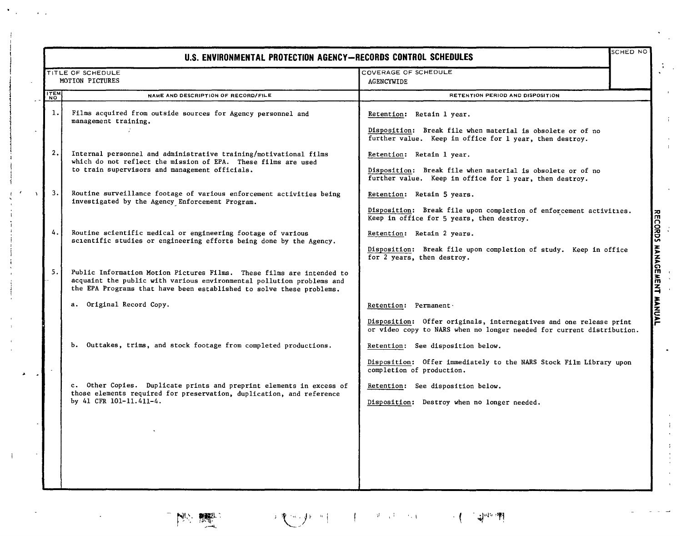|                | SCHED NO<br>U.S. ENVIRONMENTAL PROTECTION AGENCY-RECORDS CONTROL SCHEDULES                                                                                                                                             |                                                                                                                                                    |                           |  |  |
|----------------|------------------------------------------------------------------------------------------------------------------------------------------------------------------------------------------------------------------------|----------------------------------------------------------------------------------------------------------------------------------------------------|---------------------------|--|--|
|                | COVERAGE OF SCHEDULE<br>TITLE OF SCHEDULE<br>MOTION PICTURES<br><b>AGENCYWIDE</b>                                                                                                                                      |                                                                                                                                                    |                           |  |  |
| <b>ITEM</b>    | NAME AND DESCRIPTION OF RECORD/FILE                                                                                                                                                                                    | RETENTION PERIOD AND DISPOSITION                                                                                                                   |                           |  |  |
| $\mathbf{1}$ . | Films acquired from outside sources for Agency personnel and<br>management training.<br>$\mathcal{I}$                                                                                                                  | Retention: Retain 1 year.<br>Disposition: Break file when material is obsolete or of no<br>further value. Keep in office for 1 year, then destroy. |                           |  |  |
| 2.             | Internal personnel and administrative training/motivational films<br>which do not reflect the mission of EPA. These films are used<br>to train supervisors and management officials.                                   | Retention: Retain 1 year.<br>Disposition: Break file when material is obsolete or of no<br>further value. Keep in office for 1 year, then destroy. |                           |  |  |
| 3.             | Routine surveillance footage of various enforcement activities being<br>investigated by the Agency Enforcement Program.                                                                                                | Retention: Retain 5 years.<br>Disposition: Break file upon completion of enforcement activities.<br>Keep in office for 5 years, then destroy.      |                           |  |  |
| 4.             | Routine scientific medical or engineering footage of various<br>scientific studies or engineering efforts being done by the Agency.                                                                                    | Retention: Retain 2 years.<br>Disposition: Break file upon completion of study. Keep in office<br>for 2 years, then destroy.                       | RECORDS MANAGEMENT MANUAL |  |  |
| 5.             | Public Information Motion Pictures Films. These films are intended to<br>acquaint the public with various environmental pollution problems and<br>the EPA Programs that have been established to solve these problems. |                                                                                                                                                    |                           |  |  |
|                | a. Original Record Copy.                                                                                                                                                                                               | Retention: Permanent.                                                                                                                              |                           |  |  |
|                |                                                                                                                                                                                                                        | Disposition: Offer originals, internegatives and one release print<br>or video copy to NARS when no longer needed for current distribution.        |                           |  |  |
|                | b. Outtakes, trims, and stock footage from completed productions.                                                                                                                                                      | Retention: See disposition below.                                                                                                                  |                           |  |  |
|                |                                                                                                                                                                                                                        | Disposition: Offer immediately to the NARS Stock Film Library upon<br>completion of production.                                                    |                           |  |  |
|                | c. Other Copies. Duplicate prints and preprint elements in excess of<br>those elements required for preservation, duplication, and reference<br>by 41 CFR 101-11.411-4.                                                | Retention: See disposition below.<br>Disposition: Destroy when no longer needed.                                                                   |                           |  |  |
|                |                                                                                                                                                                                                                        |                                                                                                                                                    |                           |  |  |
|                |                                                                                                                                                                                                                        |                                                                                                                                                    |                           |  |  |
|                |                                                                                                                                                                                                                        |                                                                                                                                                    |                           |  |  |



 $\rightarrow$ 

 $\mathbf{I}$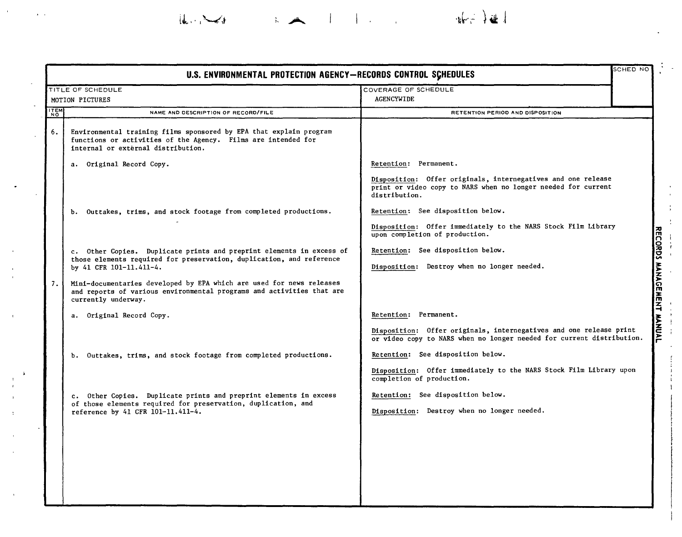SCHED NO **U.S. ENVIRONMENTAL PROTECTION AGENCY-RECORDS CONTROL SCHEDULES** TITLE OF SCHEDULE MOTION PICTURES **ITEM** NAME AND DESCRIPTION OF RECORD/FILE 6. | Environmental training films sponsored by EPA that explain program functions or activities of the Agency. Films are intended for internal or external distribution. a. Original Record Copy. b. Outtakes, trims, and stock footage from completed productions. c. Other Copies. Duplicate prints and preprint elements in excess of those elements required for preservation, duplication, and reference by 41 CFR 101-11.411-4. 7. Mini-documentaries developed by EPA which are used for news releases and reports of various environmental programs and activities that are currently underway. a. Original Record Copy. b. Outtakes, trims, and stock footage from completed productions. c. Other Copies. Duplicate prints and preprint elements in excess of those elements required for preservation, duplication, and reference by 41 CFR 101-11.411-4. COVERAGE OF SCHEDULE AGENCYWIDE RETENTION PERIOD AND DISPOSITION Retention: Permanent. Disposition: Offer originals, internegatives and one release print or video copy to NARS when no longer needed for current distribution. Retention: See disposition below. Disposition: Offer immediately to the NARS Stock Film Library upon completion of production. Retention: See disposition below. Disposition: Destroy when no longer needed. Retention: Permanent. Disposition: Offer originals, internegatives and one release print or video copy to NARS when no longer needed for current distribution. Retention: See disposition below. Disposition: Offer immediately to the NARS Stock Film Library upon completion of production. Retention: See disposition below. Disposition: Destroy when no longer needed. be the state of the state of the state of the state of the state of the state of the state of the state of the state of the state of the state of the state of the state of the state of the state of the state of the state o **TYONE** 

 $\frac{1}{2}$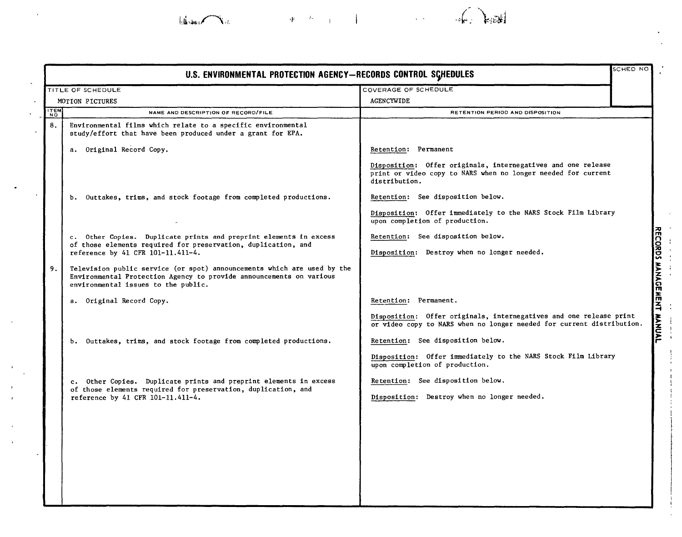

|             | U.S. ENVIRONMENTAL PROTECTION AGENCY-RECORDS CONTROL SCHEDULES                                                                                                                        |                                                                                                                                                | <b>SCHED NO</b> |
|-------------|---------------------------------------------------------------------------------------------------------------------------------------------------------------------------------------|------------------------------------------------------------------------------------------------------------------------------------------------|-----------------|
|             | TITLE OF SCHEDULE                                                                                                                                                                     | COVERAGE OF SCHEDULE                                                                                                                           |                 |
|             | MOTION PICTURES                                                                                                                                                                       | <b>AGENCYWIDE</b>                                                                                                                              |                 |
| <b>ITEM</b> | NAME AND DESCRIPTION OF RECORD/FILE                                                                                                                                                   | RETENTION PERIOD AND DISPOSITION                                                                                                               |                 |
| 8.          | Environmental films which relate to a specific environmental<br>study/effort that have been produced under a grant for EPA.                                                           |                                                                                                                                                |                 |
|             | a. Original Record Copy.                                                                                                                                                              | Retention: Permanent                                                                                                                           |                 |
|             |                                                                                                                                                                                       | Disposition: Offer originals, internegatives and one release<br>print or video copy to NARS when no longer needed for current<br>distribution. |                 |
|             | b. Outtakes, trims, and stock footage from completed productions.                                                                                                                     | Retention: See disposition below.                                                                                                              |                 |
|             |                                                                                                                                                                                       | Disposition: Offer immediately to the NARS Stock Film Library<br>upon completion of production.                                                |                 |
|             | c. Other Copies. Duplicate prints and preprint elements in excess                                                                                                                     | Retention: See disposition below.                                                                                                              |                 |
|             | of those elements required for preservation, duplication, and<br>reference by 41 CFR 101-11.411-4.                                                                                    | Disposition: Destroy when no longer needed.                                                                                                    |                 |
| 9.          | Television public service (or spot) announcements which are used by the<br>Environmental Protection Agency to provide announcements on various<br>environmental issues to the public. |                                                                                                                                                |                 |
|             | a. Original Record Copy.                                                                                                                                                              | Retention: Permanent.                                                                                                                          |                 |
|             |                                                                                                                                                                                       | Disposition: Offer originals, internegatives and one release print<br>or video copy to NARS when no longer needed for current distribution.    |                 |
|             | b. Outtakes, trims, and stock footage from completed productions.                                                                                                                     | Retention: See disposition below.                                                                                                              |                 |
|             |                                                                                                                                                                                       | Disposition: Offer immediately to the NARS Stock Film Library<br>upon completion of production.                                                |                 |
|             | c. Other Copies. Duplicate prints and preprint elements in excess                                                                                                                     | Retention: See disposition below.                                                                                                              |                 |
|             | of those elements required for preservation, duplication, and<br>reference by 41 CFR 101-11.411-4.                                                                                    | Disposition: Destroy when no longer needed.                                                                                                    |                 |
|             |                                                                                                                                                                                       |                                                                                                                                                |                 |
|             |                                                                                                                                                                                       |                                                                                                                                                |                 |
|             |                                                                                                                                                                                       |                                                                                                                                                |                 |
|             |                                                                                                                                                                                       |                                                                                                                                                |                 |
|             |                                                                                                                                                                                       |                                                                                                                                                |                 |
|             |                                                                                                                                                                                       |                                                                                                                                                |                 |

 $\frac{1}{k}$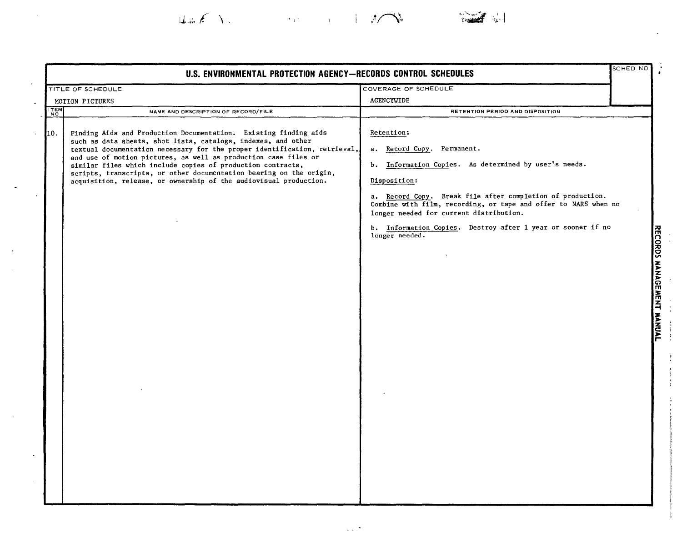## SCHED NO **u.s. ENVIRONMENTAL PROTECTION AGENCY-RECORDS CONTROL SCHEDULES** TITLE OF SCHEDULE MOTION PICTURES ITEM<br>NO 10. Finding Aids and Production Documentation. Existing finding aids such as data sheets, shot lists, catalogs, indexes, and other textual documentation necessary for the proper identification, retrieval, and use of motion pictures, as well as production case files or similar files which include copies of production contracts, scripts, transcripts, or other documentation bearing on the origin, acquisition, release, or ownership of the audiovisual production. NAME AND DESCRIPTION OF RECORD/FILE COVERAGE OF SCHEDULE AGENCYWIDE RETENTION PERIOD AND DISPOSITION Retention: a. Record Copy. Permanent. b. Information Copies. As determined by user's needs. Disposition: a. Record Copy. Break file after completion of production. Combine with film, recording, or tape and offer to NARS when no longer needed for current distribution. b. Information Copies. Destroy after 1 year or sooner if no ;;0 <sup>m</sup> longer needed. n ORDS XAVS ><br>አ<br>አ<br>

 $\mathcal{A}$  and  $\mathcal{A}$  and  $\mathcal{A}$  and  $\mathcal{A}$ 

 $\mathbb{L} \times \mathbb{R}$ 

 $\ddot{\phantom{a}}$ 

 $\ddot{\phantom{a}}$ 

m ~ m z -i **₹** ,<br>M<br>M<br>M z<br>TYNK

 $\ddot{\phantom{a}}$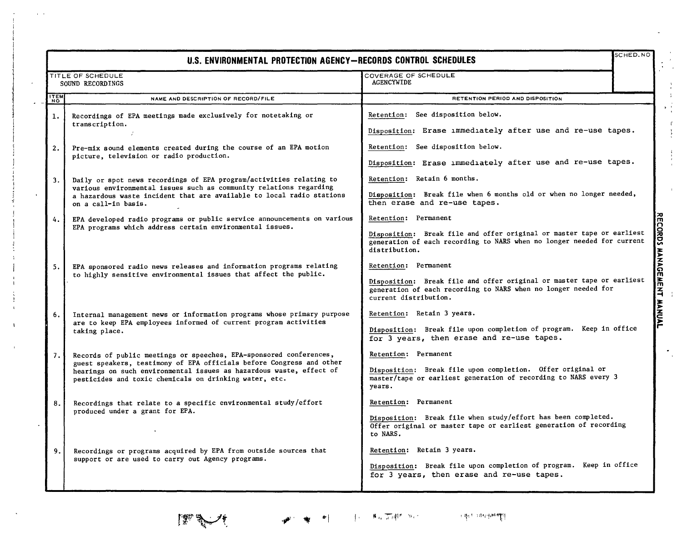|             | SCHED.NO<br>U.S. ENVIRONMENTAL PROTECTION AGENCY-RECORDS CONTROL SCHEDULES                                                                                                                                                                                                  |                                                                                                                                                                                          |  |  |
|-------------|-----------------------------------------------------------------------------------------------------------------------------------------------------------------------------------------------------------------------------------------------------------------------------|------------------------------------------------------------------------------------------------------------------------------------------------------------------------------------------|--|--|
|             | TITLE OF SCHEDULE<br>SOUND RECORDINGS                                                                                                                                                                                                                                       | COVERAGE OF SCHEDULE<br><b>AGENCYWIDE</b>                                                                                                                                                |  |  |
| <b>ITEM</b> | NAME AND DESCRIPTION OF RECORD/FILE                                                                                                                                                                                                                                         | RETENTION PERIOD AND DISPOSITION                                                                                                                                                         |  |  |
| 1.          | Recordings of EPA meetings made exclusively for notetaking or<br>transcription.<br>$\mathcal{F}$                                                                                                                                                                            | Retention: See disposition below.<br>Disposition: Erase immediately after use and re-use tapes.                                                                                          |  |  |
| 2.          | Pre-mix sound elements created during the course of an EPA motion<br>picture, television or radio production.                                                                                                                                                               | Retention: See disposition below.<br>Disposition: Erase immediately after use and re-use tapes.                                                                                          |  |  |
| 3.1         | Daily or spot news recordings of EPA program/activities relating to<br>various environmental issues such as community relations regarding<br>a hazardous waste incident that are available to local radio stations<br>on a call-in basis.                                   | Retention: Retain 6 months.<br>Disposition: Break file when 6 months old or when no longer needed,<br>then erase and re-use tapes.                                                       |  |  |
| 4.          | EPA developed radio programs or public service announcements on various<br>EPA programs which address certain environmental issues.                                                                                                                                         | Retention: Permanent<br>Disposition: Break file and offer original or master tape or earliest<br>generation of each recording to NARS when no longer needed for current<br>distribution. |  |  |
| 5.1         | EPA sponsored radio news releases and information programs relating<br>to highly sensitive environmental issues that affect the public.                                                                                                                                     | Retention: Permanent<br>Disposition: Break file and offer original or master tape or earliest<br>generation of each recording to NARS when no longer needed for<br>current distribution. |  |  |
| 6.1         | Internal management news or information programs whose primary purpose<br>are to keep EPA employees informed of current program activities<br>taking place.                                                                                                                 | Retention: Retain 3 years.<br>Disposition: Break file upon completion of program. Keep in office<br>for 3 years, then erase and re-use tapes.                                            |  |  |
| 7. I        | Records of public meetings or speeches, EPA-sponsored conferences,<br>guest speakers, testimony of EPA officials before Congress and other<br>hearings on such environmental issues as hazardous waste, effect of<br>pesticides and toxic chemicals on drinking water, etc. | Retention: Permanent<br>Disposition: Break file upon completion. Offer original or<br>master/tape or earliest generation of recording to NARS every 3<br>years.                          |  |  |
| 8.          | Recordings that relate to a specific environmental study/effort<br>produced under a grant for EPA.                                                                                                                                                                          | Retention: Permanent<br>Disposition: Break file when study/effort has been completed.<br>Offer original or master tape or earliest generation of recording<br>to NARS.                   |  |  |
| 9.          | Recordings or programs acquired by EPA from outside sources that<br>support or are used to carry out Agency programs.                                                                                                                                                       | Retention: Retain 3 years.<br>Disposition: Break file upon completion of program. Keep in office<br>for 3 years, then erase and re-use tapes.                                            |  |  |



 $\sim$ 

 $\mathbf{I}$ 

 $\Phi\left[\begin{array}{ccc} \mathbf{0} & \mathbf{0} & \mathbf{0} \\ \mathbf{0} & \mathbf{0} & \mathbf{0} \end{array}\right],\qquad \mathbf{B}_{\mathcal{A}\mathbf{0}}\left[\begin{array}{ccc} \mathbf{0} & \mathbf{0} & \mathbf{0} \\ \mathbf{0} & \mathbf{0} & \mathbf{0} \end{array}\right]$ 

燮

 $\left. + \left. \det_{\mathbf{r}} \pm \left. \det(\mathrm{Area} \mathrm{d} \hat{\mathbf{L}}) \right| \right. \right)$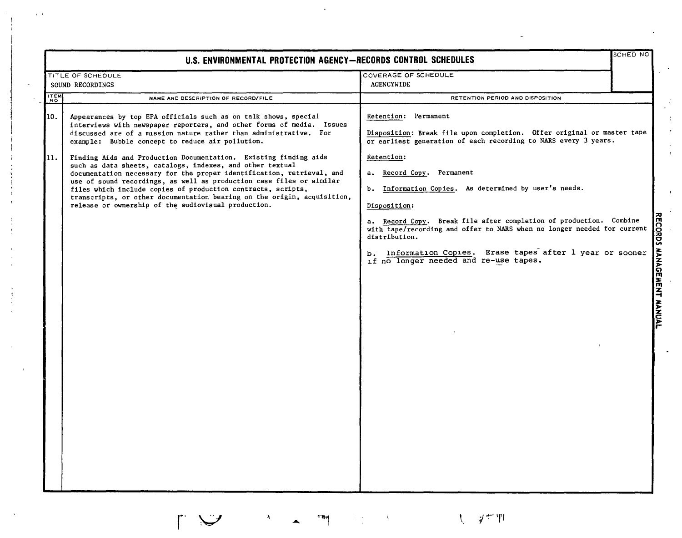|             | <b>SCHED NO</b><br>U.S. ENVIRONMENTAL PROTECTION AGENCY-RECORDS CONTROL SCHEDULES                                                                                                                                                                                                                                                                                                                                                                                                                                                                                                                                                                                                                                                                     |                                                                                                                                                                                                                                                                                                                                                                                                                                                                                                                                                                  |  |  |  |
|-------------|-------------------------------------------------------------------------------------------------------------------------------------------------------------------------------------------------------------------------------------------------------------------------------------------------------------------------------------------------------------------------------------------------------------------------------------------------------------------------------------------------------------------------------------------------------------------------------------------------------------------------------------------------------------------------------------------------------------------------------------------------------|------------------------------------------------------------------------------------------------------------------------------------------------------------------------------------------------------------------------------------------------------------------------------------------------------------------------------------------------------------------------------------------------------------------------------------------------------------------------------------------------------------------------------------------------------------------|--|--|--|
|             | TITLE OF SCHEDULE                                                                                                                                                                                                                                                                                                                                                                                                                                                                                                                                                                                                                                                                                                                                     | COVERAGE OF SCHEDULE                                                                                                                                                                                                                                                                                                                                                                                                                                                                                                                                             |  |  |  |
|             | SOUND RECORDINGS                                                                                                                                                                                                                                                                                                                                                                                                                                                                                                                                                                                                                                                                                                                                      | AGENCYWIDE                                                                                                                                                                                                                                                                                                                                                                                                                                                                                                                                                       |  |  |  |
| <b>ITEM</b> | NAME AND DESCRIPTION OF RECORD/FILE                                                                                                                                                                                                                                                                                                                                                                                                                                                                                                                                                                                                                                                                                                                   | RETENTION PERIOD AND DISPOSITION                                                                                                                                                                                                                                                                                                                                                                                                                                                                                                                                 |  |  |  |
| 10.<br>11.  | Appearances by top EPA officials such as on talk shows, special<br>interviews with newspaper reporters, and other forms of media. Issues<br>discussed are of a mission nature rather than administrative. For<br>example: Bubble concept to reduce air pollution.<br>Finding Aids and Production Documentation. Existing finding aids<br>such as data sheets, catalogs, indexes, and other textual<br>documentation necessary for the proper identification, retrieval, and<br>use of sound recordings, as well as production case files or similar<br>files which include copies of production contracts, scripts,<br>transcripts, or other documentation bearing on the origin, acquisition,<br>release or ownership of the audiovisual production. | Retention: Permanent<br>Disposition: Break file upon completion. Offer original or master tape<br>or earliest generation of each recording to NARS every 3 years.<br>Retention:<br>a. Record Copy. Permanent<br>b. Information Copies. As determined by user's needs.<br>Disposition:<br>a. Record Copy. Break file after completion of production. Combine<br>with tape/recording and offer to NARS when no longer needed for current<br>distribution.<br>Information Copies. Erase tapes after 1 year or sooner<br>ь.<br>if no longer needed and re-use tapes. |  |  |  |

 $\label{eq:1} \frac{1}{\sqrt{2}}\sum_{i=1}^n\frac{1}{\sqrt{2}}\sum_{i=1}^n\frac{1}{\sqrt{2}}\sum_{i=1}^n\frac{1}{\sqrt{2}}\sum_{i=1}^n\frac{1}{\sqrt{2}}\sum_{i=1}^n\frac{1}{\sqrt{2}}\sum_{i=1}^n\frac{1}{\sqrt{2}}\sum_{i=1}^n\frac{1}{\sqrt{2}}\sum_{i=1}^n\frac{1}{\sqrt{2}}\sum_{i=1}^n\frac{1}{\sqrt{2}}\sum_{i=1}^n\frac{1}{\sqrt{2}}\sum_{i=1}^n\frac{1$ 

 $\mathcal{H} = \left\{ \begin{array}{rcl} \mathcal{H} & \mathcal{H} \\ \mathcal{H} & \mathcal{H} \end{array} \right\}$ 

 $\Gamma$ 

 $\mathbf{r}$ 

 $\frac{1}{2}$ 

 $\alpha$  ,  $\alpha$ 

 $\label{eq:10} \int_{\mathbb{R}^d} \frac{1}{\| \mathbf{y} \|^{d+2}} \, \mathbf{y} \, \mathbf{y} \, \mathbf{y} \, \mathbf{y} \, \mathbf{y} \, \mathbf{y} \, \mathbf{y} \, \mathbf{y} \, \mathbf{y} \, \mathbf{y} \, \mathbf{y} \, \mathbf{y} \, \mathbf{y} \, \mathbf{y} \, \mathbf{y} \, \mathbf{y} \, \mathbf{y} \, \mathbf{y} \, \mathbf{y} \, \mathbf{y} \, \mathbf{y} \, \mathbf{y} \, \mathbf$ 

 $\sim$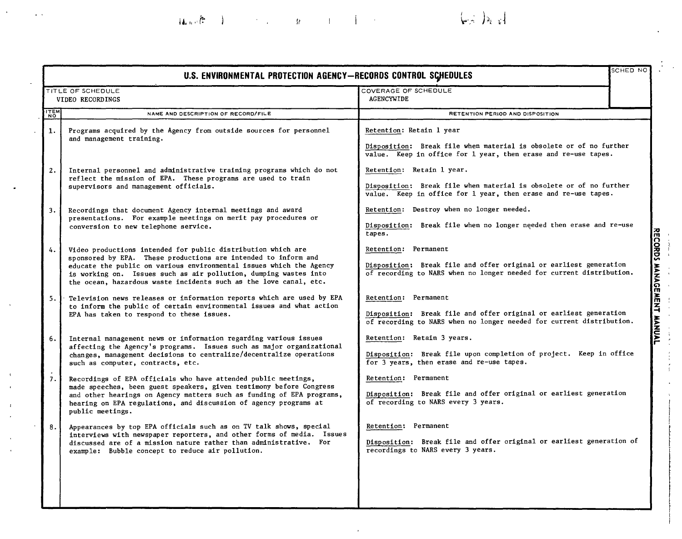the contract of the contract of the contract of the contract of the contract of the contract of the contract of  $\label{eq:3} \left(\begin{array}{cc} \textbf{1}_{\text{data}}(\mathbb{R}^n) & \text{if } \text{1}_{\text{data}}(\mathbb{R}^n) \end{array}\right)$ is a subset of  $\hat{H}$  . If  $\hat{H}$ 

|             | <b>SCHED NO</b><br>U.S. ENVIRONMENTAL PROTECTION AGENCY-RECORDS CONTROL SCHEDULES                                                                                                                                                                                                                                                              |                                                                                                                                                                   |  |  |  |  |
|-------------|------------------------------------------------------------------------------------------------------------------------------------------------------------------------------------------------------------------------------------------------------------------------------------------------------------------------------------------------|-------------------------------------------------------------------------------------------------------------------------------------------------------------------|--|--|--|--|
|             | TITLE OF SCHEDULE<br>VIDEO RECORDINGS                                                                                                                                                                                                                                                                                                          | COVERAGE OF SCHEDULE<br><b>AGENCYWIDE</b>                                                                                                                         |  |  |  |  |
| <b>ZTEM</b> | NAME AND DESCRIPTION OF RECORD/FILE                                                                                                                                                                                                                                                                                                            | RETENTION PERIOD AND DISPOSITION                                                                                                                                  |  |  |  |  |
| 1.          | Programs acquired by the Agency from outside sources for personnel<br>and management training.                                                                                                                                                                                                                                                 | Retention: Retain 1 year<br>Disposition: Break file when material is obsolete or of no further<br>value. Keep in office for 1 year, then erase and re-use tapes.  |  |  |  |  |
| 2.          | Internal personnel and administrative training programs which do not<br>reflect the mission of EPA. These programs are used to train<br>supervisors and management officials.                                                                                                                                                                  | Retention: Retain 1 year.<br>Disposition: Break file when material is obsolete or of no further<br>value. Keep in office for 1 year, then erase and re-use tapes. |  |  |  |  |
| 3.          | Recordings that document Agency internal meetings and award<br>presentations. For example meetings on merit pay procedures or<br>conversion to new telephone service.                                                                                                                                                                          | Retention: Destroy when no longer needed.<br>Disposition: Break file when no longer needed then erase and re-use<br>tapes.                                        |  |  |  |  |
| 4.          | Video productions intended for public distribution which are<br>sponsored by EPA. These productions are intended to inform and<br>educate the public on various environmental issues which the Agency<br>is working on. Issues such as air pollution, dumping wastes into<br>the ocean, hazardous waste incidents such as the love canal, etc. | Retention: Permanent<br>Disposition: Break file and offer original or earliest generation<br>of recording to NARS when no longer needed for current distribution. |  |  |  |  |
| 5.1         | Television news releases or information reports which are used by EPA<br>to inform the public of certain environmental issues and what action<br>EPA has taken to respond to these issues.                                                                                                                                                     | Retention: Permanent<br>Disposition: Break file and offer original or earliest generation<br>of recording to NARS when no longer needed for current distribution. |  |  |  |  |
| 6.          | Internal management news or information regarding various issues<br>affecting the Agency's programs. Issues such as major organizational<br>changes, management decisions to centralize/decentralize operations<br>such as computer, contracts, etc.                                                                                           | Retention: Retain 3 years.<br>Disposition: Break file upon completion of project. Keep in office<br>for 3 years, then erase and re-use tapes.                     |  |  |  |  |
| 7.          | Recordings of EPA officials who have attended public meetings,<br>made speeches, been guest speakers, given testimony before Congress<br>and other hearings on Agency matters such as funding of EPA programs,<br>hearing on EPA regulations, and discussion of agency programs at<br>public meetings.                                         | Retention: Permanent<br>Disposition: Break file and offer original or earliest generation<br>of recording to NARS every 3 years.                                  |  |  |  |  |
| 8.          | Appearances by top EPA officials such as on TV talk shows, special<br>interviews with newspaper reporters, and other forms of media. Issues<br>discussed are of a mission nature rather than administrative. For<br>example: Bubble concept to reduce air pollution.                                                                           | Retention: Permanent<br>Disposition: Break file and offer original or earliest generation of<br>recordings to NARS every 3 years.                                 |  |  |  |  |

 $\epsilon$ 

**RECORDS** TVNNY<br>...

 $\frac{1}{\sqrt{2}}$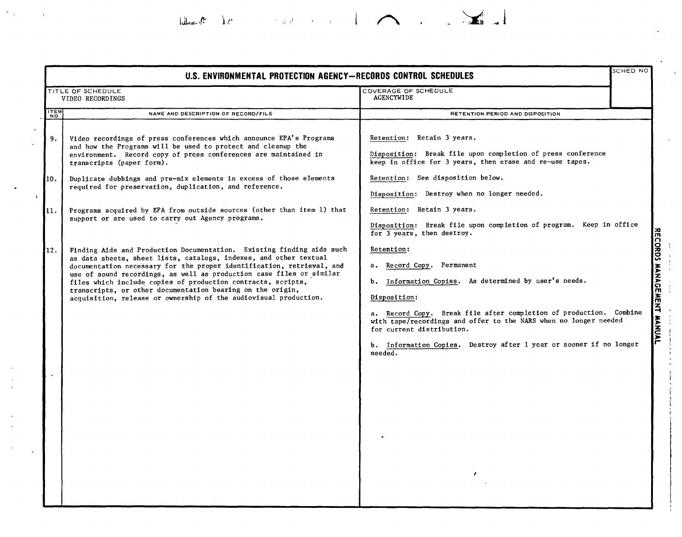SCHED NO **u.s. ENVIRONMENTAL PROTECTION AGENCY-RECORDS CONTROL SCHEDULES** TITLE OF SCHEDULE VIDEO RECORDINGS TEM<br>NAME AND DESCRIPTION OF RECORD/FILE 9. Video recordings of press conferences which announce EPA's Programs and how the Programs will be used to protect and cleanup the environment. Record copy of press conferences are maintained in transcripts (paper form). 10. Duplicate dubbings and pre-mix elements in excess of those elements required for preservation, duplication, and reference. 11. Programs acquired by EPA from outside sources (other than item 1) that support or are used to carry out Agency programs. 12. Finding Aids and Production Documentation. Existing finding aids such as data sheets, sheet lists, catalogs, indexes, and other textual documentation necessary for the proper identification, retrieval, and use of sound recordings, as well as production case files or similar files which include copies of production contracts, scripts, transcripts, or other documentation bearing on the origin, acquisition, release or ownership of the audiovisual production. COVERAGE OF SCHEDULE AGENCYWIDE  $R$ ETENTION PERIOD AND DISPOSITION Retention: Retain 3 years. Disposition: Break file upon completion of press conference keep in office for 3 years, then erase and re-use tapes. Retention: See disposition below. Disposition: Destroy when no longer needed. Retention: Retain 3 years. Disposition: Break file upon completion of program. Keep in office for 3 years, then destroy. ፲  $\overline{\text{Retention}}$ : カワい a. Record Copy. Permanent > b. Information Copies. As determined by user's needs. m Disposition: ~ m z a. Record Copy. Break file after completion of production. Combine with tape/recordings and offer to the NARS when no longer needed for current distribution. c: ~ b. Information Copies. Destroy after 1 year or sooner if no longer needed.

Straight Contractor

 $\ln \frac{1}{2}$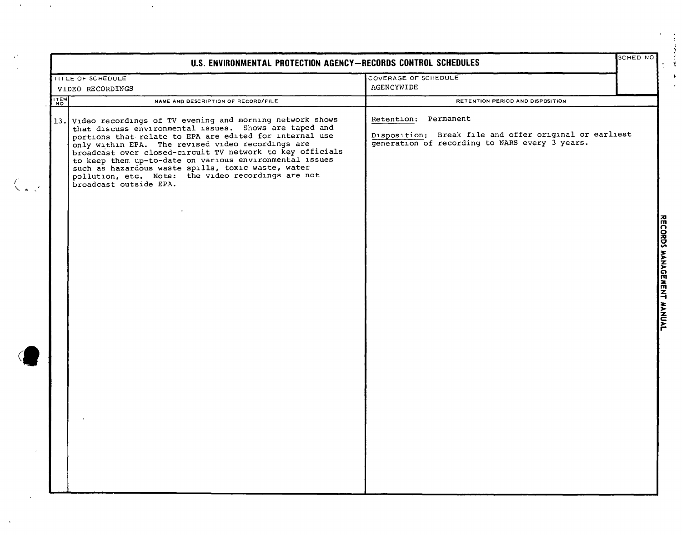|                                                              | <b>SCHED NO</b>                                                                                          |  |
|--------------------------------------------------------------|----------------------------------------------------------------------------------------------------------|--|
| TITLE OF SCHEDULE<br>VIDEO RECORDINGS                        |                                                                                                          |  |
| ITEM                                                         |                                                                                                          |  |
| 13. Video recordings of TV evening and morning network shows | Disposition: Break file and offer original or earliest<br>generation of recording to NARS every 3 years. |  |

 $\mathcal{L}^{\mathcal{L}}(\mathcal{L}^{\mathcal{L}})$  . As a function of  $\mathcal{L}^{\mathcal{L}}(\mathcal{L}^{\mathcal{L}})$ 

 $\sim$ 

 $\mathcal{L}(\mathcal{L})$  and  $\mathcal{L}(\mathcal{L})$  .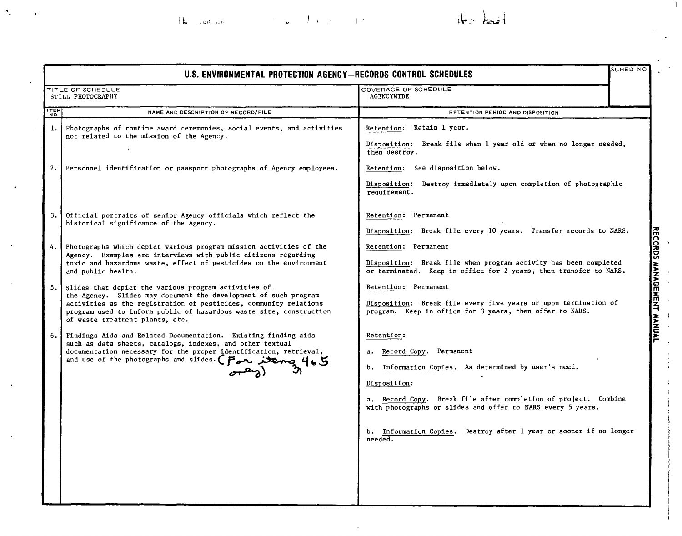## $\mathbf{11.7}$  . In the contract  $\mathbf{11.7}$  ,  $\mathbf{11.7}$  ,  $\mathbf{11.7}$

'.

 $\bullet$  .



 $\langle 1 \rangle$ 

k)<br>S

 $\Delta$ 

 $\pm$ 

 $\beta$  $\sim$ 

|             | U.S. ENVIRONMENTAL PROTECTION AGENCY-RECORDS CONTROL SCHEDULES                                                                                                                                                                                                                                                                                                                                      |                                                                                                                                                                                                                                                                                                                                    | SCHED NO |
|-------------|-----------------------------------------------------------------------------------------------------------------------------------------------------------------------------------------------------------------------------------------------------------------------------------------------------------------------------------------------------------------------------------------------------|------------------------------------------------------------------------------------------------------------------------------------------------------------------------------------------------------------------------------------------------------------------------------------------------------------------------------------|----------|
|             | TITLE OF SCHEDULE<br>STILL PHOTOGRAPHY                                                                                                                                                                                                                                                                                                                                                              | COVERAGE OF SCHEDULE<br><b>AGENCYWIDE</b>                                                                                                                                                                                                                                                                                          |          |
| <b>ITEM</b> | NAME AND DESCRIPTION OF RECORD/FILE                                                                                                                                                                                                                                                                                                                                                                 | RETENTION PERIOD AND DISPOSITION                                                                                                                                                                                                                                                                                                   |          |
| 1.1<br>2.1  | Photographs of routine award ceremonies, social events, and activities<br>not related to the mission of the Agency.<br>Personnel identification or passport photographs of Agency employees.                                                                                                                                                                                                        | Retention: Retain 1 year.<br>Disposition: Break file when 1 year old or when no longer needed,<br>then destroy.<br>Retention: See disposition below.<br>Disposition: Destroy immediately upon completion of photographic<br>requirement.                                                                                           |          |
| 3.1<br>4.   | Official portraits of senior Agency officials which reflect the<br>historical significance of the Agency.<br>Photographs which depict various program mission activities of the<br>Agency. Examples are interviews with public citizens regarding                                                                                                                                                   | Retention: Permanent<br>Disposition: Break file every 10 years. Transfer records to NARS.<br>Retention: Permanent                                                                                                                                                                                                                  |          |
| 5.          | toxic and hazardous waste, effect of pesticides on the environment<br>and public health.<br>Slides that depict the various program activities of,<br>the Agency. Slides may document the development of such program<br>activities as the registration of pesticides, community relations<br>program used to inform public of hazardous waste site, construction<br>of waste treatment plants, etc. | Disposition: Break file when program activity has been completed<br>or terminated. Keep in office for 2 years, then transfer to NARS.<br>Retention: Permanent<br>Disposition: Break file every five years or upon termination of<br>program. Keep in office for 3 years, then offer to NARS.                                       |          |
| 6.          | Findings Aids and Related Documentation. Existing finding aids<br>such as data sheets, catalogs, indexes, and other textual<br>documentation necessary for the proper identification, retrieval,<br>and use of the photographs and sildes. (For items 465)                                                                                                                                          | Retention:<br>a. Record Copy. Permanent<br>b. Information Copies. As determined by user's need.<br>Disposition:<br>a. Record Copy. Break file after completion of project. Combine<br>with photographs or slides and offer to NARS every 5 years.<br>b. Information Copies. Destroy after 1 year or sooner if no longer<br>needed. |          |

 $\cdot$